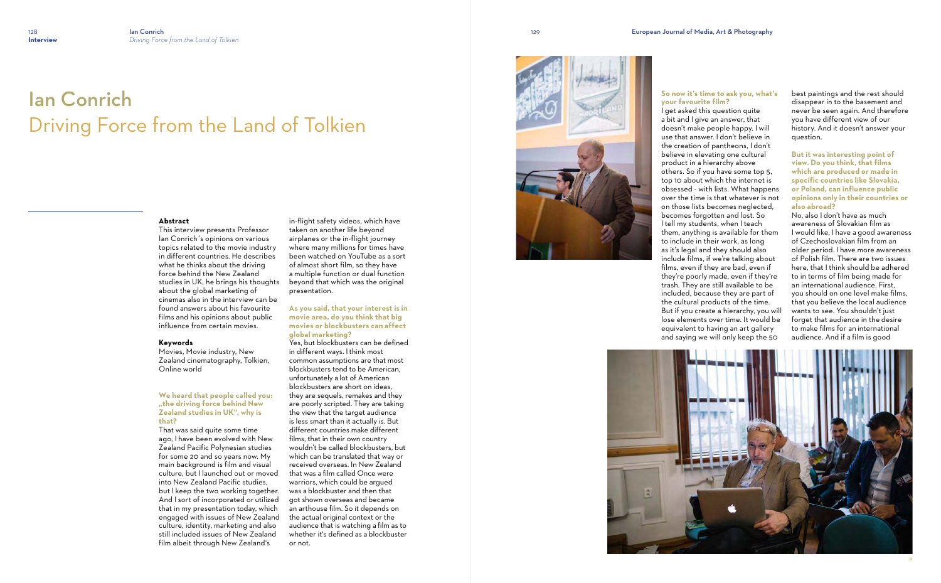# Ian Conrich Driving Force from the Land of Tolkien

#### **Abstract**

This interview presents Professor Ian Conrich´s opinions on various topics related to the movie industry in different countries. He describes what he thinks about the driving force behind the New Zealand studies in UK, he brings his thoughts about the global marketing of cinemas also in the interview can be found answers about his favourite films and his opinions about public influence from certain movies.

#### **Keywords**

Movies, Movie industry, New Zealand cinematography, Tolkien, Online world

## **We heard that people called you: "the driving force behind New Zealand studies in UK", why is that?**

That was said quite some time ago, I have been evolved with New Zealand Pacific Polynesian studies for some 20 and so years now. My main background is film and visual culture, but I launched out or moved into New Zealand Pacific studies, but I keep the two working together. And I sort of incorporated or utilized that in my presentation today, which engaged with issues of New Zealand culture, identity, marketing and also still included issues of New Zealand film albeit through New Zealand's

in-flight safety videos, which have taken on another life beyond airplanes or the in-flight journey where many millions for times have been watched on YouTube as a sort of almost short film, so they have a multiple function or dual function beyond that which was the original presentation.

# **As you said, that your interest is in movie area, do you think that big movies or blockbusters can affect global marketing?**

Yes, but blockbusters can be defined in different ways. I think most common assumptions are that most blockbusters tend to be American, unfortunately a lot of American blockbusters are short on ideas, they are sequels, remakes and they are poorly scripted. They are taking the view that the target audience is less smart than it actually is. But different countries make different films, that in their own country wouldn't be called blockbusters, but which can be translated that way or received overseas. In New Zealand that was a film called Once were warriors, which could be argued was a blockbuster and then that got shown overseas and became an arthouse film. So it depends on the actual original context or the audience that is watching a film as to whether it's defined as a blockbuster or not.



# **So now it's time to ask you, what's your favourite film?**





I get asked this question quite a bit and I give an answer, that doesn't make people happy. I will use that answer. I don't believe in the creation of pantheons, I don't believe in elevating one cultural others. So if you have some top 5, top 10 about which the internet is obsessed - with lists. What happens over the time is that whatever is not on those lists becomes neglected, becomes forgotten and lost. So I tell my students, when I teach them, anything is available for them to include in their work, as long as it's legal and they should also include films, if we're talking about films, even if they are bad, even if they're poorly made, even if they're trash. They are still available to be included, because they are part of the cultural products of the time. But if you create a hierarchy, you will lose elements over time. It would be equivalent to having an art gallery and saying we will only keep the 50

best paintings and the rest should disappear in to the basement and never be seen again. And therefore you have different view of our history. And it doesn't answer your question.

**But it was interesting point of view. Do you think, that films which are produced or made in specific countries like Slovakia, or Poland, can influence public opinions only in their countries or also abroad?**

No, also I don't have as much awareness of Slovakian film as I would like, I have a good awareness of Czechoslovakian film from an older period. I have more awareness of Polish film. There are two issues here, that I think should be adhered to in terms of film being made for an international audience. First, you should on one level make films, that you believe the local audience wants to see. You shouldn't just forget that audience in the desire to make films for an international audience. And if a film is good